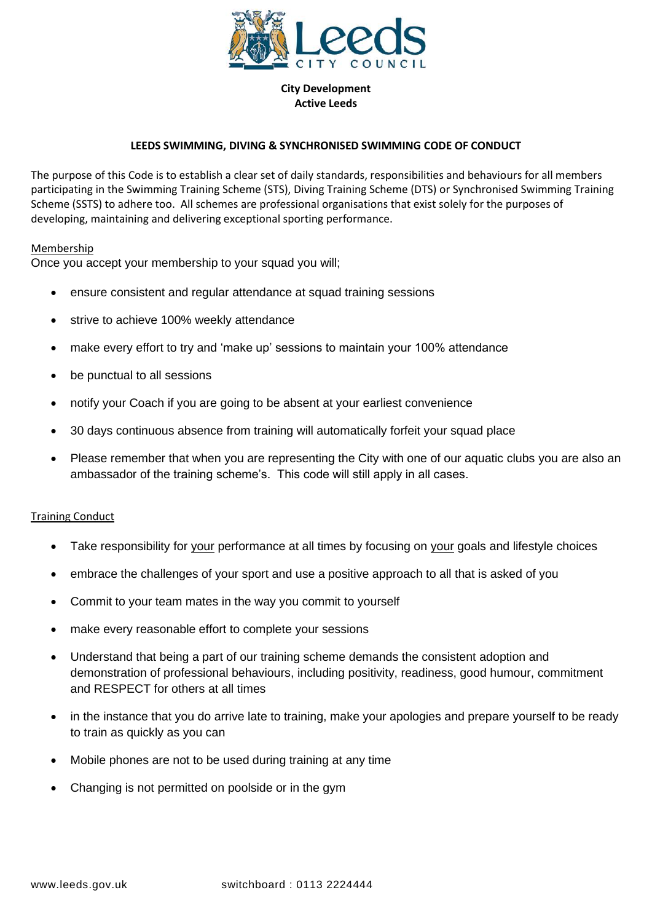

**City Development Active Leeds**

# **LEEDS SWIMMING, DIVING & SYNCHRONISED SWIMMING CODE OF CONDUCT**

The purpose of this Code is to establish a clear set of daily standards, responsibilities and behaviours for all members participating in the Swimming Training Scheme (STS), Diving Training Scheme (DTS) or Synchronised Swimming Training Scheme (SSTS) to adhere too. All schemes are professional organisations that exist solely for the purposes of developing, maintaining and delivering exceptional sporting performance.

## Membership

Once you accept your membership to your squad you will;

- ensure consistent and regular attendance at squad training sessions
- strive to achieve 100% weekly attendance
- make every effort to try and 'make up' sessions to maintain your 100% attendance
- be punctual to all sessions
- notify your Coach if you are going to be absent at your earliest convenience
- 30 days continuous absence from training will automatically forfeit your squad place
- Please remember that when you are representing the City with one of our aquatic clubs you are also an ambassador of the training scheme's. This code will still apply in all cases.

## **Training Conduct**

- Take responsibility for your performance at all times by focusing on your goals and lifestyle choices
- embrace the challenges of your sport and use a positive approach to all that is asked of you
- Commit to your team mates in the way you commit to yourself
- make every reasonable effort to complete your sessions
- Understand that being a part of our training scheme demands the consistent adoption and demonstration of professional behaviours, including positivity, readiness, good humour, commitment and RESPECT for others at all times
- in the instance that you do arrive late to training, make your apologies and prepare yourself to be ready to train as quickly as you can
- Mobile phones are not to be used during training at any time
- Changing is not permitted on poolside or in the gym